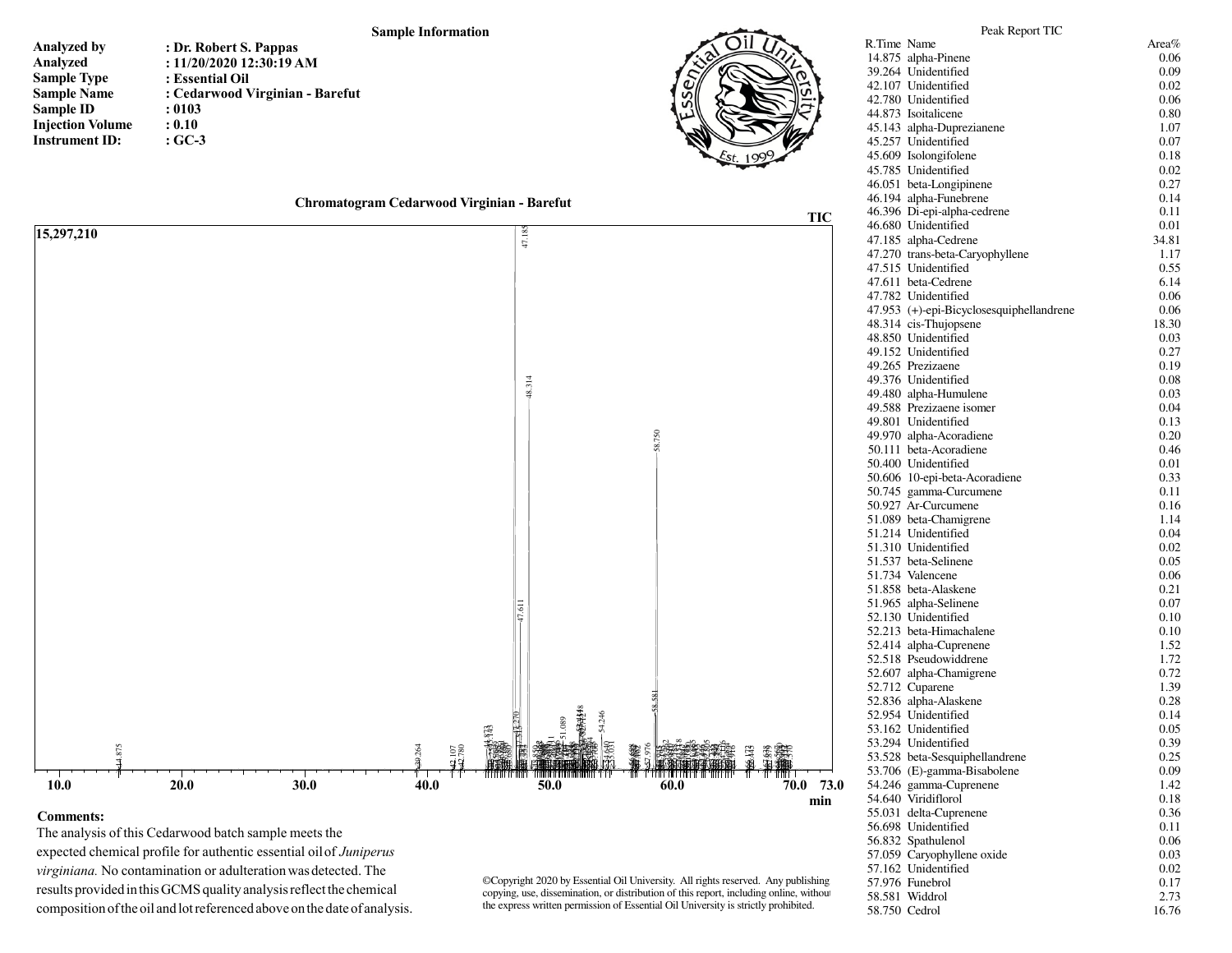## **Sample Information**

| <b>Analyzed by</b>      | : Dr. Robert S. Pappas          |
|-------------------------|---------------------------------|
| Analyzed                | : $11/20/2020$ 12:30:19 AM      |
| <b>Sample Type</b>      | : Essential Oil                 |
| <b>Sample Name</b>      | : Cedarwood Virginian - Barefut |
| <b>Sample ID</b>        | : 0103                          |
| <b>Injection Volume</b> | : 0.10                          |
| <b>Instrument ID:</b>   | $:GC-3$                         |







| 20.0 |  | ٠ |  |  |  |
|------|--|---|--|--|--|

 The analysis of this Cedarwood batch sample meets the expected chemical profile for authentic essential oil of *Juniperus virginiana.* No contamination or adulteration was detected. The results provided in this GCMS quality analysis reflect the chemical composition of the oil and lot referenced above on the date of analysis.

**Comments:**

©Copyright 2020 by Essential Oil University. All rights reserved. Any publishing, copying, use, dissemination, or distribution of this report, including online, without the express written permission of Essential Oil University is strictly prohibited.

| R.Time Name   |                                            | Area%        |
|---------------|--------------------------------------------|--------------|
|               | 14.875 alpha-Pinene                        | 0.06         |
|               | 39.264 Unidentified                        | 0.09         |
|               | 42.107 Unidentified                        | 0.02         |
|               | 42.780 Unidentified                        | 0.06         |
|               | 44.873 Isoitalicene                        | 0.80         |
|               | 45.143 alpha-Duprezianene                  | 1.07         |
|               | 45.257 Unidentified                        | 0.07         |
|               | 45.609 Isolongifolene                      | 0.18         |
|               | 45.785 Unidentified                        | 0.02         |
|               | 46.051 beta-Longipinene                    | 0.27         |
|               | 46.194 alpha-Funebrene                     | 0.14         |
|               | 46.396 Di-epi-alpha-cedrene                | 0.11         |
|               | 46.680 Unidentified                        | 0.01         |
|               | 47.185 alpha-Cedrene                       | 34.81        |
|               | 47.270 trans-beta-Caryophyllene            | 1.17         |
|               | 47.515 Unidentified                        | 0.55         |
|               | 47.611 beta-Cedrene                        | 6.14         |
|               | 47.782 Unidentified                        | 0.06         |
|               | 47.953 (+)-epi-Bicyclosesquiphellandrene   | 0.06         |
|               | 48.314 cis-Thujopsene                      | 18.30        |
|               | 48.850 Unidentified                        | 0.03         |
|               | 49.152 Unidentified                        | 0.27         |
|               | 49.265 Prezizaene                          | 0.19         |
|               | 49.376 Unidentified                        | 0.08         |
|               | 49.480 alpha-Humulene                      | 0.03         |
|               | 49.588 Prezizaene isomer                   | 0.04         |
|               | 49.801 Unidentified                        | 0.13         |
|               | 49.970 alpha-Acoradiene                    | 0.20         |
|               | 50.111 beta-Acoradiene                     | 0.46         |
|               | 50.400 Unidentified                        | 0.01         |
|               | 50.606 10-epi-beta-Acoradiene              | 0.33         |
|               | 50.745 gamma-Curcumene                     | 0.11         |
|               | 50.927 Ar-Curcumene                        | 0.16         |
|               | 51.089 beta-Chamigrene                     | 1.14         |
|               | 51.214 Unidentified<br>51.310 Unidentified | 0.04         |
|               | 51.537 beta-Selinene                       | 0.02<br>0.05 |
|               | 51.734 Valencene                           | 0.06         |
|               | 51.858 beta-Alaskene                       | 0.21         |
|               | 51.965 alpha-Selinene                      | 0.07         |
|               | 52.130 Unidentified                        | 0.10         |
|               | 52.213 beta-Himachalene                    | 0.10         |
|               | 52.414 alpha-Cuprenene                     | 1.52         |
|               | 52.518 Pseudowiddrene                      | 1.72         |
|               | 52.607 alpha-Chamigrene                    | 0.72         |
|               | 52.712 Cuparene                            | 1.39         |
|               | 52.836 alpha-Alaskene                      | 0.28         |
|               | 52.954 Unidentified                        | 0.14         |
|               | 53.162 Unidentified                        | 0.05         |
|               | 53.294 Unidentified                        | 0.39         |
|               | 53.528 beta-Sesquiphellandrene             | 0.25         |
|               | 53.706 (E)-gamma-Bisabolene                | 0.09         |
|               | 54.246 gamma-Cuprenene                     | 1.42         |
|               | 54.640 Viridiflorol                        | 0.18         |
|               | 55.031 delta-Cuprenene                     | 0.36         |
|               | 56.698 Unidentified                        | 0.11         |
|               | 56.832 Spathulenol                         | 0.06         |
|               | 57.059 Caryophyllene oxide                 | 0.03         |
|               | 57.162 Unidentified                        | 0.02         |
|               | 57.976 Funebrol                            | 0.17         |
|               | 58.581 Widdrol                             | 2.73         |
| 58.750 Cedrol |                                            | 16.76        |

Peak Report TIC